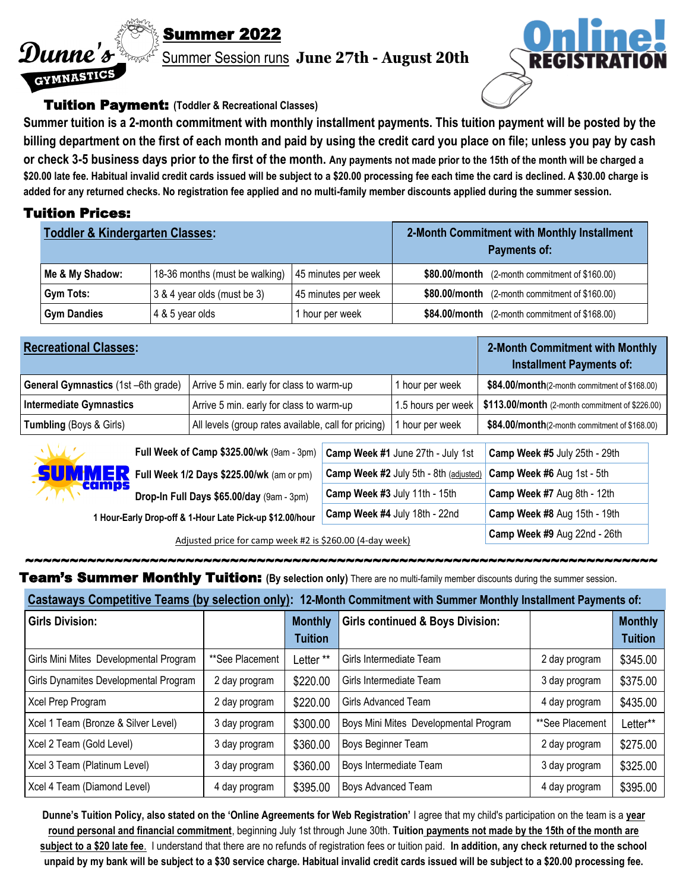# Summer 2022

Summer Session runs **June 27th - August 20th** 



#### Tuition Payment: **(Toddler & Recreational Classes)**

**Summer tuition is a 2-month commitment with monthly installment payments. This tuition payment will be posted by the billing department on the first of each month and paid by using the credit card you place on file; unless you pay by cash or check 3-5 business days prior to the first of the month. Any payments not made prior to the 15th of the month will be charged a \$20.00 late fee. Habitual invalid credit cards issued will be subject to a \$20.00 processing fee each time the card is declined. A \$30.00 charge is added for any returned checks. No registration fee applied and no multi-family member discounts applied during the summer session.**

### Tuition Prices:

Dunne's

GYMNASTICS

| <b>Toddler &amp; Kindergarten Classes:</b> |                                                      |                     | 2-Month Commitment with Monthly Installment<br>Payments of: |  |  |
|--------------------------------------------|------------------------------------------------------|---------------------|-------------------------------------------------------------|--|--|
| Me & My Shadow:                            | 18-36 months (must be walking)   45 minutes per week |                     | $$80.00/m$ onth (2-month commitment of \$160.00)            |  |  |
| Gym Tots:                                  | 3 & 4 year olds (must be 3)                          | 45 minutes per week | \$80.00/month (2-month commitment of \$160.00)              |  |  |
| <b>Gym Dandies</b>                         | 4 & 5 year olds                                      | hour per week       | $$84.00/m$ onth (2-month commitment of \$168.00)            |  |  |

| <b>Recreational Classes:</b>                       |                                                      |  |                                        | 2-Month Commitment with Monthly<br><b>Installment Payments of:</b> |  |
|----------------------------------------------------|------------------------------------------------------|--|----------------------------------------|--------------------------------------------------------------------|--|
| General Gymnastics (1st -6th grade)                | Arrive 5 min. early for class to warm-up             |  | 1 hour per week                        | \$84.00/month(2-month commitment of \$168.00)                      |  |
| Intermediate Gymnastics                            | Arrive 5 min. early for class to warm-up             |  | 1.5 hours per week                     | \$113.00/month (2-month commitment of \$226.00)                    |  |
| <b>Tumbling</b> (Boys & Girls)                     | All levels (group rates available, call for pricing) |  | I hour per week                        | \$84.00/month(2-month commitment of \$168.00)                      |  |
| AMA 1<br>Full Week of Camp \$325.00/wk (9am - 3pm) |                                                      |  | Camp Week #1 June 27th - July 1st      | Camp Week #5 July 25th - 29th                                      |  |
|                                                    | Full Week 1/2 Days \$225.00/wk (am or pm)            |  | Camp Week #2 July 5th - 8th (adjusted) | Camp Week #6 Aug 1st - 5th                                         |  |
| camps                                              | Drop-In Full Davs \$65.00/day (9am - 3pm)            |  | Camp Week #3 July 11th - 15th          | Camp Week #7 Aug 8th - 12th                                        |  |

**Drop-In Full Days \$65.00/day** (9am - 3pm)

**1 Hour-Early Drop-off & 1-Hour Late Pick-up \$12.00/hour Camp Week #4** July 18th - 22nd **Camp Week #8** Aug 15th - 19th

Adjusted price for camp week #2 is \$260.00 (4-day week) **Camp Week #9** Aug 22nd - 26th

Team's Summer Monthly Tuition: **(By selection only)** There are no multi-family member discounts during the summer session.

| Castaways Competitive Teams (by selection only): 12-Month Commitment with Summer Monthly Installment Payments of: |  |
|-------------------------------------------------------------------------------------------------------------------|--|

~~~~~~~~~~~~~~~~~~~~~~~~~~~~~~~~~~~~~~~~~~~~~~~~~~~~~~~~~~~~~~~~~~~~~~~

| <b>Girls Division:</b>                 |                 | <b>Monthly</b><br><b>Tuition</b> | <b>Girls continued &amp; Boys Division:</b> |                 | <b>Monthly</b><br><b>Tuition</b> |
|----------------------------------------|-----------------|----------------------------------|---------------------------------------------|-----------------|----------------------------------|
| Girls Mini Mites Developmental Program | **See Placement | Letter **                        | Girls Intermediate Team                     | 2 day program   | \$345.00                         |
| Girls Dynamites Developmental Program  | 2 day program   | \$220.00                         | Girls Intermediate Team                     | 3 day program   | \$375.00                         |
| Xcel Prep Program                      | 2 day program   | \$220.00                         | Girls Advanced Team                         | 4 day program   | \$435.00                         |
| Xcel 1 Team (Bronze & Silver Level)    | 3 day program   | \$300.00                         | Boys Mini Mites Developmental Program       | **See Placement | Letter**                         |
| Xcel 2 Team (Gold Level)               | 3 day program   | \$360.00                         | Boys Beginner Team                          | 2 day program   | \$275.00                         |
| Xcel 3 Team (Platinum Level)           | 3 day program   | \$360.00                         | Boys Intermediate Team                      | 3 day program   | \$325.00                         |
| Xcel 4 Team (Diamond Level)            | 4 day program   | \$395.00                         | Boys Advanced Team                          | 4 day program   | \$395.00                         |

**Dunne's Tuition Policy, also stated on the 'Online Agreements for Web Registration'** I agree that my child's participation on the team is a **year round personal and financial commitment**, beginning July 1st through June 30th. **Tuition payments not made by the 15th of the month are subject to a \$20 late fee**. I understand that there are no refunds of registration fees or tuition paid. **In addition, any check returned to the school unpaid by my bank will be subject to a \$30 service charge. Habitual invalid credit cards issued will be subject to a \$20.00 processing fee.**